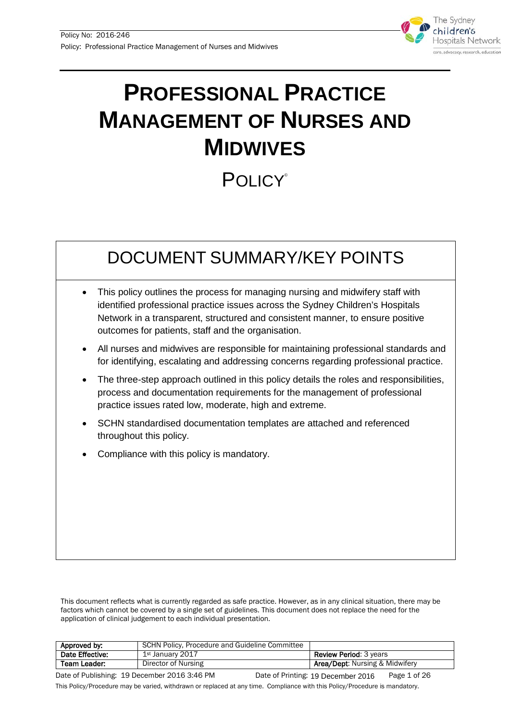

# **PROFESSIONAL PRACTICE MANAGEMENT OF NURSES AND MIDWIVES**

# **POLICY®**

# DOCUMENT SUMMARY/KEY POINTS

- This policy outlines the process for managing nursing and midwifery staff with identified professional practice issues across the Sydney Children's Hospitals Network in a transparent, structured and consistent manner, to ensure positive outcomes for patients, staff and the organisation.
- All nurses and midwives are responsible for maintaining professional standards and for identifying, escalating and addressing concerns regarding professional practice.
- The three-step approach outlined in this policy details the roles and responsibilities, process and documentation requirements for the management of professional practice issues rated low, moderate, high and extreme.
- SCHN standardised documentation templates are attached and referenced throughout this policy.
- Compliance with this policy is mandatory.

This document reflects what is currently regarded as safe practice. However, as in any clinical situation, there may be factors which cannot be covered by a single set of guidelines. This document does not replace the need for the application of clinical judgement to each individual presentation.

| Approved by:                                 | SCHN Policy, Procedure and Guideline Committee |                                       |              |
|----------------------------------------------|------------------------------------------------|---------------------------------------|--------------|
| Date Effective:                              | 1st January 2017                               | <b>Review Period: 3 years</b>         |              |
| Team Leader:                                 | Director of Nursing                            | <b>Area/Dept:</b> Nursing & Midwifery |              |
| Date of Publishing: 19 December 2016 3:46 PM |                                                | Date of Printing: 19 December 2016    | Page 1 of 26 |

This Policy/Procedure may be varied, withdrawn or replaced at any time. Compliance with this Policy/Procedure is mandatory.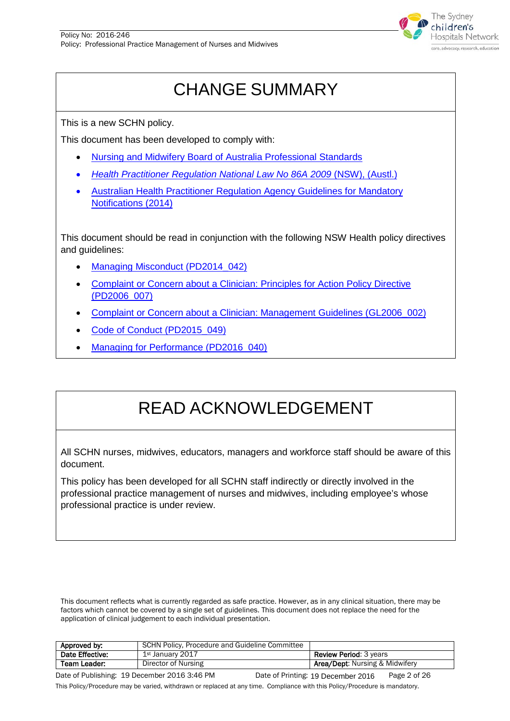

# CHANGE SUMMARY

This is a new SCHN policy.

This document has been developed to comply with:

- [Nursing and Midwifery Board of Australia Professional Standards](http://www.nursingmidwiferyboard.gov.au/Codes-Guidelines-Statements/Professional-standards.aspx)
- *[Health Practitioner Regulation National Law No 86A](http://www.austlii.edu.au/au/legis/nsw/consol_act/hprnl460/) 2009* (NSW), (Austl.)
- [Australian Health Practitioner Regulation Agency Guidelines for Mandatory](http://www.nursingmidwiferyboard.gov.au/Codes-Guidelines-Statements/Codes-Guidelines/Guidelines-for-mandatory-notifications.aspx)  [Notifications \(2014\)](http://www.nursingmidwiferyboard.gov.au/Codes-Guidelines-Statements/Codes-Guidelines/Guidelines-for-mandatory-notifications.aspx)

This document should be read in conjunction with the following NSW Health policy directives and guidelines:

- [Managing Misconduct](http://www0.health.nsw.gov.au/policies/pd/2014/pdf/PD2014_042.pdf) (PD2014\_042)
- [Complaint or Concern about a Clinician:](http://www0.health.nsw.gov.au/policies/pd/2006/pdf/PD2006_007.pdf) Principles for Action Policy Directive [\(PD2006\\_007\)](http://www0.health.nsw.gov.au/policies/pd/2006/pdf/PD2006_007.pdf)
- [Complaint or Concern about a Clinician: Management](http://www0.health.nsw.gov.au/policies/gl/2006/pdf/GL2006_002.pdf) Guidelines (GL2006\_002)
- [Code of Conduct \(PD2015\\_049\)](http://www0.health.nsw.gov.au/policies/pd/2015/pdf/PD2015_049.pdf)
- [Managing for Performance](http://www0.health.nsw.gov.au/policies/pd/2016/PD2016_040.html) (PD2016\_040)

# READ ACKNOWLEDGEMENT

All SCHN nurses, midwives, educators, managers and workforce staff should be aware of this document.

This policy has been developed for all SCHN staff indirectly or directly involved in the professional practice management of nurses and midwives, including employee's whose professional practice is under review.

This document reflects what is currently regarded as safe practice. However, as in any clinical situation, there may be factors which cannot be covered by a single set of guidelines. This document does not replace the need for the application of clinical judgement to each individual presentation.

| Approved by:                               | SCHN Policy, Procedure and Guideline Committee |                                             |
|--------------------------------------------|------------------------------------------------|---------------------------------------------|
| Date Effective:                            | 1st January 2017                               | <b>Review Period: 3 years</b>               |
| Team Leader:                               | Director of Nursing                            | <b>Area/Dept:</b> Nursing & Midwifery       |
| $Data of Duhliching 10$ $Dosephov 2016216$ |                                                | $D = 500$<br>Dota of Drintings 10 B L. 0010 |

Date of Publishing: 19 December 2016 3:46 PM Date of Printing: 19 December 2016 Page 2 of 26 This Policy/Procedure may be varied, withdrawn or replaced at any time. Compliance with this Policy/Procedure is mandatory. Date of Printing: 19 December 2016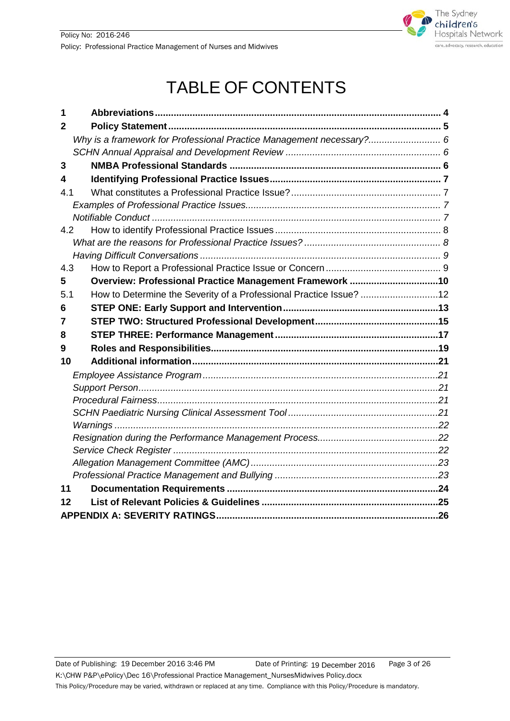

# TABLE OF CONTENTS

| 1   |                                                                      |  |
|-----|----------------------------------------------------------------------|--|
| 2   |                                                                      |  |
|     | Why is a framework for Professional Practice Management necessary? 6 |  |
|     |                                                                      |  |
| 3   |                                                                      |  |
| 4   |                                                                      |  |
| 4.1 |                                                                      |  |
|     |                                                                      |  |
|     |                                                                      |  |
| 4.2 |                                                                      |  |
|     |                                                                      |  |
|     |                                                                      |  |
| 4.3 |                                                                      |  |
| 5   | Overview: Professional Practice Management Framework 10              |  |
| 5.1 | How to Determine the Severity of a Professional Practice Issue? 12   |  |
| 6   |                                                                      |  |
|     |                                                                      |  |
| 7   |                                                                      |  |
| 8   |                                                                      |  |
| 9   |                                                                      |  |
| 10  |                                                                      |  |
|     |                                                                      |  |
|     |                                                                      |  |
|     |                                                                      |  |
|     |                                                                      |  |
|     |                                                                      |  |
|     |                                                                      |  |
|     |                                                                      |  |
|     |                                                                      |  |
|     |                                                                      |  |
| 11  |                                                                      |  |
| 12  |                                                                      |  |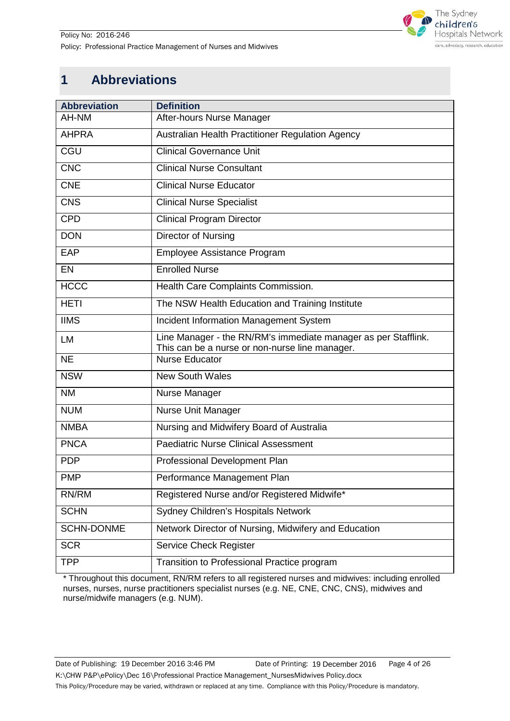

# <span id="page-3-0"></span>**1 Abbreviations**

| <b>Abbreviation</b> | <b>Definition</b>                                                                                                |
|---------------------|------------------------------------------------------------------------------------------------------------------|
| AH-NM               | After-hours Nurse Manager                                                                                        |
| <b>AHPRA</b>        | Australian Health Practitioner Regulation Agency                                                                 |
| <b>CGU</b>          | <b>Clinical Governance Unit</b>                                                                                  |
| <b>CNC</b>          | <b>Clinical Nurse Consultant</b>                                                                                 |
| <b>CNE</b>          | <b>Clinical Nurse Educator</b>                                                                                   |
| <b>CNS</b>          | <b>Clinical Nurse Specialist</b>                                                                                 |
| <b>CPD</b>          | <b>Clinical Program Director</b>                                                                                 |
| <b>DON</b>          | Director of Nursing                                                                                              |
| EAP                 | Employee Assistance Program                                                                                      |
| EN                  | <b>Enrolled Nurse</b>                                                                                            |
| <b>HCCC</b>         | Health Care Complaints Commission.                                                                               |
| <b>HETI</b>         | The NSW Health Education and Training Institute                                                                  |
| <b>IIMS</b>         | Incident Information Management System                                                                           |
| LM                  | Line Manager - the RN/RM's immediate manager as per Stafflink.<br>This can be a nurse or non-nurse line manager. |
| <b>NE</b>           | <b>Nurse Educator</b>                                                                                            |
| <b>NSW</b>          | <b>New South Wales</b>                                                                                           |
| <b>NM</b>           | Nurse Manager                                                                                                    |
| <b>NUM</b>          | Nurse Unit Manager                                                                                               |
| <b>NMBA</b>         | Nursing and Midwifery Board of Australia                                                                         |
| <b>PNCA</b>         | <b>Paediatric Nurse Clinical Assessment</b>                                                                      |
| <b>PDP</b>          | Professional Development Plan                                                                                    |
| <b>PMP</b>          | Performance Management Plan                                                                                      |
| RN/RM               | Registered Nurse and/or Registered Midwife*                                                                      |
| <b>SCHN</b>         | Sydney Children's Hospitals Network                                                                              |
| <b>SCHN-DONME</b>   | Network Director of Nursing, Midwifery and Education                                                             |
| <b>SCR</b>          | <b>Service Check Register</b>                                                                                    |
| <b>TPP</b>          | Transition to Professional Practice program                                                                      |

\* Throughout this document, RN/RM refers to all registered nurses and midwives: including enrolled nurses, nurses, nurse practitioners specialist nurses (e.g. NE, CNE, CNC, CNS), midwives and nurse/midwife managers (e.g. NUM).

Date of Publishing: 19 December 2016 3:46 PM Date of Printing: 19 December 2016 Page 4 of 26 K:\CHW P&P\ePolicy\Dec 16\Professional Practice Management\_NursesMidwives Policy.docx This Policy/Procedure may be varied, withdrawn or replaced at any time. Compliance with this Policy/Procedure is mandatory. Date of Printing: 19 December 2016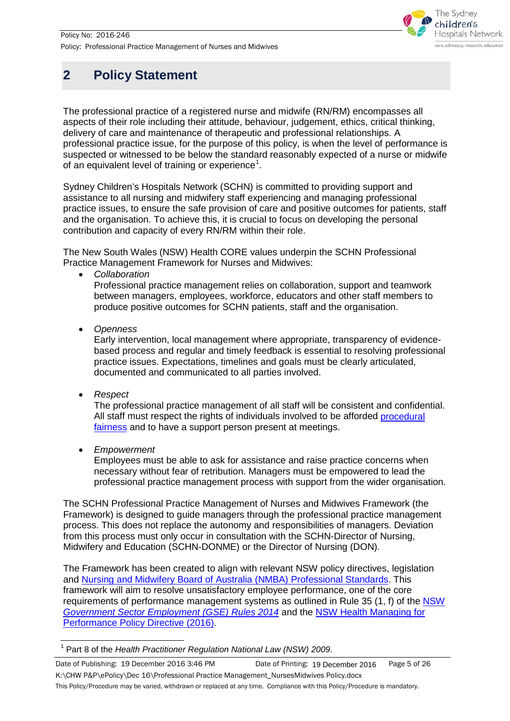

# <span id="page-4-0"></span>**2 Policy Statement**

The professional practice of a registered nurse and midwife (RN/RM) encompasses all aspects of their role including their attitude, behaviour, judgement, ethics, critical thinking, delivery of care and maintenance of therapeutic and professional relationships. A professional practice issue, for the purpose of this policy, is when the level of performance is suspected or witnessed to be below the standard reasonably expected of a nurse or midwife of an equivalent level of training or experience<sup>[1](#page-5-3)</sup>.

Sydney Children's Hospitals Network (SCHN) is committed to providing support and assistance to all nursing and midwifery staff experiencing and managing professional practice issues, to ensure the safe provision of care and positive outcomes for patients, staff and the organisation. To achieve this, it is crucial to focus on developing the personal contribution and capacity of every RN/RM within their role.

The New South Wales (NSW) Health CORE values underpin the SCHN Professional Practice Management Framework for Nurses and Midwives:

• *Collaboration*

Professional practice management relies on collaboration, support and teamwork between managers, employees, workforce, educators and other staff members to produce positive outcomes for SCHN patients, staff and the organisation.

• *Openness*

Early intervention, local management where appropriate, transparency of evidencebased process and regular and timely feedback is essential to resolving professional practice issues. Expectations, timelines and goals must be clearly articulated, documented and communicated to all parties involved.

• *Respect*

The professional practice management of all staff will be consistent and confidential. All staff must respect the rights of individuals involved to be afforded procedural [fairness](#page-20-3) and to have a support person present at meetings.

• *Empowerment*

Employees must be able to ask for assistance and raise practice concerns when necessary without fear of retribution. Managers must be empowered to lead the professional practice management process with support from the wider organisation.

The SCHN Professional Practice Management of Nurses and Midwives Framework (the Framework) is designed to guide managers through the professional practice management process. This does not replace the autonomy and responsibilities of managers. Deviation from this process must only occur in consultation with the SCHN-Director of Nursing, Midwifery and Education (SCHN-DONME) or the Director of Nursing (DON).

The Framework has been created to align with relevant NSW policy directives, legislation and [Nursing and Midwifery Board of Australia \(NMBA\) Professional Standards.](http://www.nursingmidwiferyboard.gov.au/Codes-Guidelines-Statements/Professional-standards.aspx) This framework will aim to resolve unsatisfactory employee performance, one of the core requirements of performance management systems as outlined in Rule 35 (1, f) of the [NSW](http://www.legislation.nsw.gov.au/#/view/regulation/2014/65/part7/rule.36)  *[Government Sector Employment \(GSE\) Rules 2014](http://www.legislation.nsw.gov.au/#/view/regulation/2014/65/part7/rule.36)* and the [NSW Health Managing for](http://www0.health.nsw.gov.au/policies/pd/2016/pdf/PD2016_040.pdf)  [Performance Policy Directive \(2016\).](http://www0.health.nsw.gov.au/policies/pd/2016/pdf/PD2016_040.pdf)

<span id="page-4-1"></span> <sup>1</sup> Part 8 of the *Health Practitioner Regulation National Law (NSW) 2009*.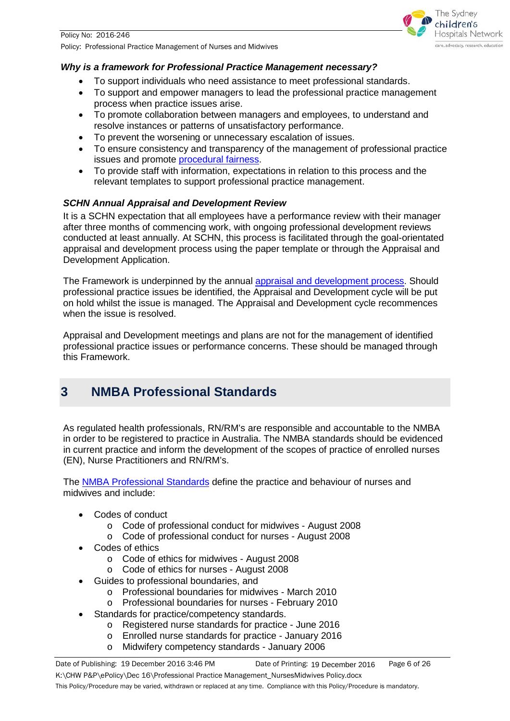## <span id="page-5-0"></span>*Why is a framework for Professional Practice Management necessary?*

- To support individuals who need assistance to meet professional standards.
- To support and empower managers to lead the professional practice management process when practice issues arise.

The Sydney hildren's **Hospitals Network** care, advocacy, research, education

- To promote collaboration between managers and employees, to understand and resolve instances or patterns of unsatisfactory performance.
- To prevent the worsening or unnecessary escalation of issues.
- To ensure consistency and transparency of the management of professional practice issues and promote [procedural fairness.](#page-20-3)
- To provide staff with information, expectations in relation to this process and the relevant templates to support professional practice management.

## <span id="page-5-1"></span>*SCHN Annual Appraisal and Development Review*

It is a SCHN expectation that all employees have a performance review with their manager after three months of commencing work, with ongoing professional development reviews conducted at least annually. At SCHN, this process is facilitated through the goal-orientated appraisal and development process using the paper template or through the Appraisal and Development Application.

The Framework is underpinned by the annual [appraisal and development process.](http://intranet.schn.health.nsw.gov.au/our-people/appraisal-process) Should professional practice issues be identified, the Appraisal and Development cycle will be put on hold whilst the issue is managed. The Appraisal and Development cycle recommences when the issue is resolved.

Appraisal and Development meetings and plans are not for the management of identified professional practice issues or performance concerns. These should be managed through this Framework.

## <span id="page-5-2"></span>**3 NMBA Professional Standards**

As regulated health professionals, RN/RM's are responsible and accountable to the NMBA in order to be registered to practice in Australia. The NMBA standards should be evidenced in current practice and inform the development of the scopes of practice of enrolled nurses (EN), Nurse Practitioners and RN/RM's.

The [NMBA Professional Standards](http://www.nursingmidwiferyboard.gov.au/Codes-Guidelines-Statements/Professional-standards.aspx) define the practice and behaviour of nurses and midwives and include:

- Codes of conduct
	- o Code of professional conduct for midwives August 2008
	- o Code of professional conduct for nurses August 2008
- Codes of ethics
	- o Code of ethics for midwives August 2008
	- o Code of ethics for nurses August 2008
- Guides to professional boundaries, and
	- o Professional boundaries for midwives March 2010
	- o Professional boundaries for nurses February 2010
- <span id="page-5-3"></span>Standards for practice/competency standards.
	- o Registered nurse standards for practice June 2016
	- o Enrolled nurse standards for practice January 2016
	- o Midwifery competency standards January 2006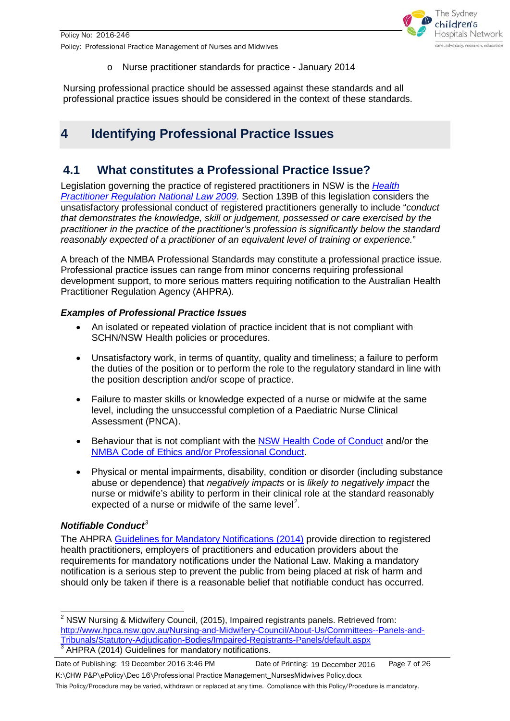

o Nurse practitioner standards for practice - January 2014

Nursing professional practice should be assessed against these standards and all professional practice issues should be considered in the context of these standards.

# <span id="page-6-0"></span>**4 Identifying Professional Practice Issues**

## <span id="page-6-1"></span>**4.1 What constitutes a Professional Practice Issue?**

Legislation governing the practice of registered practitioners in NSW is the *[Health](http://www.austlii.edu.au/au/legis/nsw/consol_act/hprnl460/s139b.html)  [Practitioner Regulation National Law 2009.](http://www.austlii.edu.au/au/legis/nsw/consol_act/hprnl460/s139b.html)* Section 139B of this legislation considers the unsatisfactory professional conduct of registered practitioners generally to include "*conduct that demonstrates the knowledge, skill or judgement, possessed or care exercised by the practitioner in the practice of the practitioner's profession is significantly below the standard reasonably expected of a practitioner of an equivalent level of training or experience.*"

A breach of the NMBA Professional Standards may constitute a professional practice issue. Professional practice issues can range from minor concerns requiring professional development support, to more serious matters requiring notification to the Australian Health Practitioner Regulation Agency (AHPRA).

## <span id="page-6-2"></span>*Examples of Professional Practice Issues*

- An isolated or repeated violation of practice incident that is not compliant with SCHN/NSW Health policies or procedures.
- Unsatisfactory work, in terms of quantity, quality and timeliness; a failure to perform the duties of the position or to perform the role to the regulatory standard in line with the position description and/or scope of practice.
- Failure to master skills or knowledge expected of a nurse or midwife at the same level, including the unsuccessful completion of a Paediatric Nurse Clinical Assessment (PNCA).
- Behaviour that is not compliant with the [NSW Health Code of Conduct](http://www0.health.nsw.gov.au/policies/pd/2015/pdf/PD2015_049.pdf) and/or the [NMBA Code of Ethics and/or Professional Conduct.](http://www.nursingmidwiferyboard.gov.au/Codes-Guidelines-Statements/Professional-standards.aspx)
- Physical or mental impairments, disability, condition or disorder (including substance abuse or dependence) that *negatively impacts* or is *likely to negatively impact* the nurse or midwife's ability to perform in their clinical role at the standard reasonably expected of a nurse or midwife of the same level<sup>[2](#page-4-1)</sup>.

## <span id="page-6-3"></span>*Notifiable Conduct[3](#page-6-4)*

The AHPRA [Guidelines for Mandatory Notifications \(2014\)](http://www.nursingmidwiferyboard.gov.au/Codes-Guidelines-Statements/Codes-Guidelines.aspx) provide direction to registered health practitioners, employers of practitioners and education providers about the requirements for mandatory notifications under the National Law. Making a mandatory notification is a serious step to prevent the public from being placed at risk of harm and should only be taken if there is a reasonable belief that notifiable conduct has occurred.

<span id="page-6-5"></span><span id="page-6-4"></span> $2$  NSW Nursing & Midwifery Council, (2015), Impaired registrants panels. Retrieved from: http://www.hpca.nsw.gov.au/Nursing-and-Midwifery-Council/About-Us/Committees--Panels-and-<br>Tribunals/Statutory-Adjudication-Bodies/Impaired-Registrants-Panels/default.aspx  $3$  AHPRA (2014) Guidelines for mandatory notifications.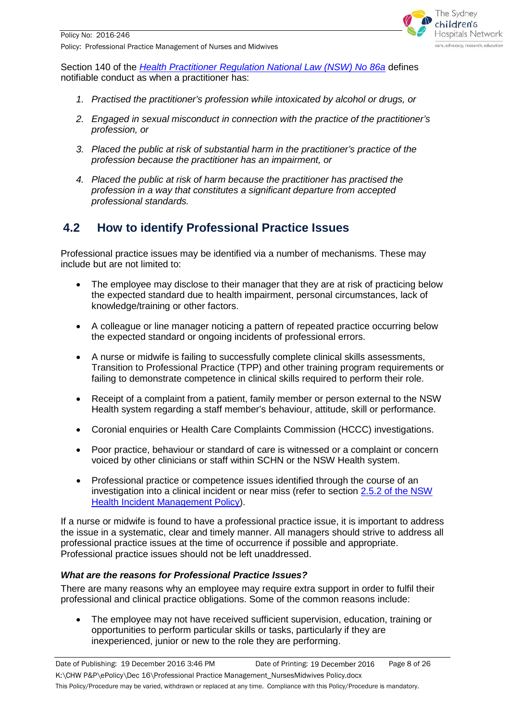

Section 140 of the *[Health Practitioner Regulation National Law \(NSW\) No 86a](http://www.legislation.nsw.gov.au/#/view/act/2009/86a/part8/div2/sec140)* defines notifiable conduct as when a practitioner has:

- *1. Practised the practitioner's profession while intoxicated by alcohol or drugs, or*
- *2. Engaged in sexual misconduct in connection with the practice of the practitioner's profession, or*
- *3. Placed the public at risk of substantial harm in the practitioner's practice of the profession because the practitioner has an impairment, or*
- *4. Placed the public at risk of harm because the practitioner has practised the profession in a way that constitutes a significant departure from accepted professional standards.*

## <span id="page-7-0"></span>**4.2 How to identify Professional Practice Issues**

Professional practice issues may be identified via a number of mechanisms. These may include but are not limited to:

- The employee may disclose to their manager that they are at risk of practicing below the expected standard due to health impairment, personal circumstances, lack of knowledge/training or other factors.
- A colleague or line manager noticing a pattern of repeated practice occurring below the expected standard or ongoing incidents of professional errors.
- A nurse or midwife is failing to successfully complete clinical skills assessments, Transition to Professional Practice (TPP) and other training program requirements or failing to demonstrate competence in clinical skills required to perform their role.
- Receipt of a complaint from a patient, family member or person external to the NSW Health system regarding a staff member's behaviour, attitude, skill or performance.
- Coronial enquiries or Health Care Complaints Commission (HCCC) investigations.
- Poor practice, behaviour or standard of care is witnessed or a complaint or concern voiced by other clinicians or staff within SCHN or the NSW Health system.
- Professional practice or competence issues identified through the course of an investigation into a clinical incident or near miss (refer to section [2.5.2 of the NSW](http://www0.health.nsw.gov.au/policies/pd/2014/pdf/PD2014_004.pdf)  [Health Incident Management Policy\)](http://www0.health.nsw.gov.au/policies/pd/2014/pdf/PD2014_004.pdf).

If a nurse or midwife is found to have a professional practice issue, it is important to address the issue in a systematic, clear and timely manner. All managers should strive to address all professional practice issues at the time of occurrence if possible and appropriate. Professional practice issues should not be left unaddressed.

### <span id="page-7-1"></span>*What are the reasons for Professional Practice Issues?*

There are many reasons why an employee may require extra support in order to fulfil their professional and clinical practice obligations. Some of the common reasons include:

• The employee may not have received sufficient supervision, education, training or opportunities to perform particular skills or tasks, particularly if they are inexperienced, junior or new to the role they are performing.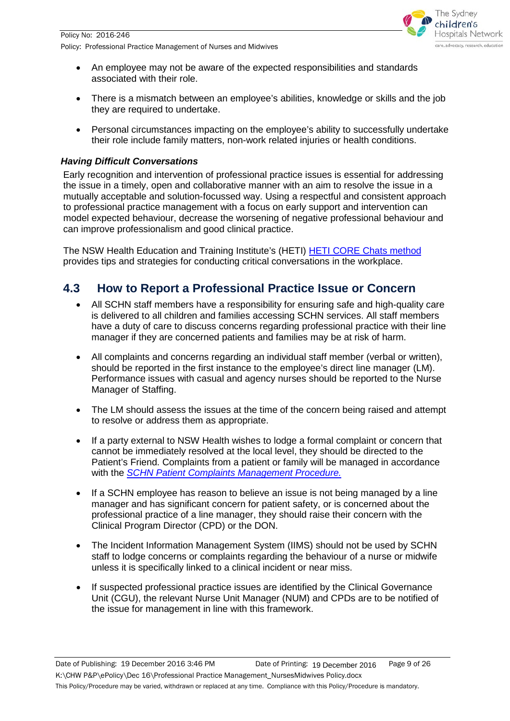

- An employee may not be aware of the expected responsibilities and standards associated with their role.
- There is a mismatch between an employee's abilities, knowledge or skills and the job they are required to undertake.
- Personal circumstances impacting on the employee's ability to successfully undertake their role include family matters, non-work related injuries or health conditions.

## <span id="page-8-0"></span>*Having Difficult Conversations*

Early recognition and intervention of professional practice issues is essential for addressing the issue in a timely, open and collaborative manner with an aim to resolve the issue in a mutually acceptable and solution-focussed way. Using a respectful and consistent approach to professional practice management with a focus on early support and intervention can model expected behaviour, decrease the worsening of negative professional behaviour and can improve professionalism and good clinical practice.

The NSW Health Education and Training Institute's (HETI) [HETI CORE Chats method](http://www.heti.nsw.gov.au/Global/Education%20Implementation/CORE%20Chat%20Focus%20document_MARCH%2014.PDF) provides tips and strategies for conducting critical conversations in the workplace.

## <span id="page-8-1"></span>**4.3 How to Report a Professional Practice Issue or Concern**

- All SCHN staff members have a responsibility for ensuring safe and high-quality care is delivered to all children and families accessing SCHN services. All staff members have a duty of care to discuss concerns regarding professional practice with their line manager if they are concerned patients and families may be at risk of harm.
- All complaints and concerns regarding an individual staff member (verbal or written), should be reported in the first instance to the employee's direct line manager (LM). Performance issues with casual and agency nurses should be reported to the Nurse Manager of Staffing.
- The LM should assess the issues at the time of the concern being raised and attempt to resolve or address them as appropriate.
- If a party external to NSW Health wishes to lodge a formal complaint or concern that cannot be immediately resolved at the local level, they should be directed to the Patient's Friend. Complaints from a patient or family will be managed in accordance with the *[SCHN Patient Complaints Management Procedure.](http://webapps.schn.health.nsw.gov.au/epolicy/policy/3591/download)*
- If a SCHN employee has reason to believe an issue is not being managed by a line manager and has significant concern for patient safety, or is concerned about the professional practice of a line manager, they should raise their concern with the Clinical Program Director (CPD) or the DON.
- The Incident Information Management System (IIMS) should not be used by SCHN staff to lodge concerns or complaints regarding the behaviour of a nurse or midwife unless it is specifically linked to a clinical incident or near miss.
- If suspected professional practice issues are identified by the Clinical Governance Unit (CGU), the relevant Nurse Unit Manager (NUM) and CPDs are to be notified of the issue for management in line with this framework.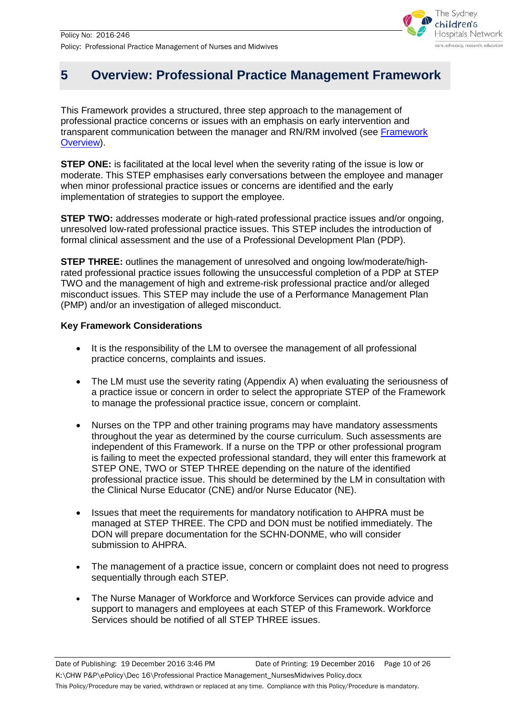

# <span id="page-9-0"></span>**5 Overview: Professional Practice Management Framework**

This Framework provides a structured, three step approach to the management of professional practice concerns or issues with an emphasis on early intervention and transparent communication between the manager and RN/RM involved (see [Framework](#page-10-0)  [Overview\)](#page-10-0).

**STEP ONE:** is facilitated at the local level when the severity rating of the issue is low or moderate. This STEP emphasises early conversations between the employee and manager when minor professional practice issues or concerns are identified and the early implementation of strategies to support the employee.

**STEP TWO:** addresses moderate or high-rated professional practice issues and/or ongoing, unresolved low-rated professional practice issues. This STEP includes the introduction of formal clinical assessment and the use of a Professional Development Plan (PDP).

**STEP THREE:** outlines the management of unresolved and ongoing low/moderate/highrated professional practice issues following the unsuccessful completion of a PDP at STEP TWO and the management of high and extreme-risk professional practice and/or alleged misconduct issues. This STEP may include the use of a Performance Management Plan (PMP) and/or an investigation of alleged misconduct.

## **Key Framework Considerations**

- It is the responsibility of the LM to oversee the management of all professional practice concerns, complaints and issues.
- The LM must use the severity rating (Appendix A) when evaluating the seriousness of a practice issue or concern in order to select the appropriate STEP of the Framework to manage the professional practice issue, concern or complaint.
- Nurses on the TPP and other training programs may have mandatory assessments throughout the year as determined by the course curriculum. Such assessments are independent of this Framework. If a nurse on the TPP or other professional program is failing to meet the expected professional standard, they will enter this framework at STEP ONE, TWO or STEP THREE depending on the nature of the identified professional practice issue. This should be determined by the LM in consultation with the Clinical Nurse Educator (CNE) and/or Nurse Educator (NE).
- Issues that meet the requirements for mandatory notification to AHPRA must be managed at STEP THREE. The CPD and DON must be notified immediately. The DON will prepare documentation for the SCHN-DONME, who will consider submission to AHPRA.
- The management of a practice issue, concern or complaint does not need to progress sequentially through each STEP.
- The Nurse Manager of Workforce and Workforce Services can provide advice and support to managers and employees at each STEP of this Framework. Workforce Services should be notified of all STEP THREE issues.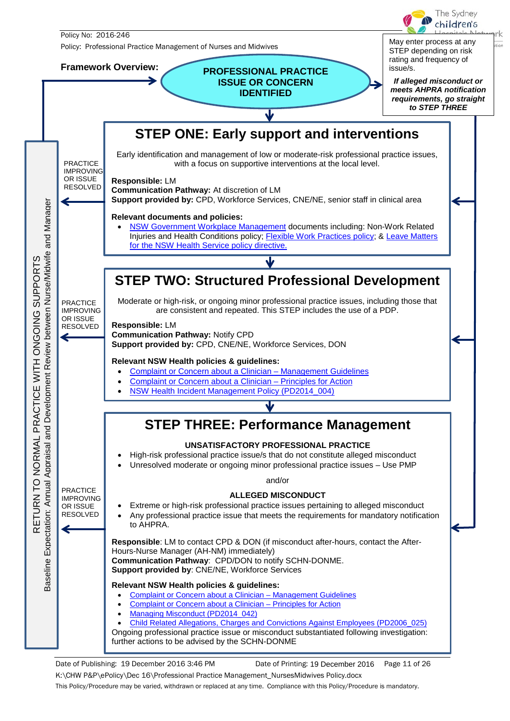<span id="page-10-0"></span>

tion

Date of Publishing: 19 December 2016 3:46 PM Date of Printing: 19 December 2016 Page 11 of 26 K:\CHW P&P\ePolicy\Dec 16\Professional Practice Management\_NursesMidwives Policy.docx This Policy/Procedure may be varied, withdrawn or replaced at any time. Compliance with this Policy/Procedure is mandatory. Date of Printing: 19 December 2016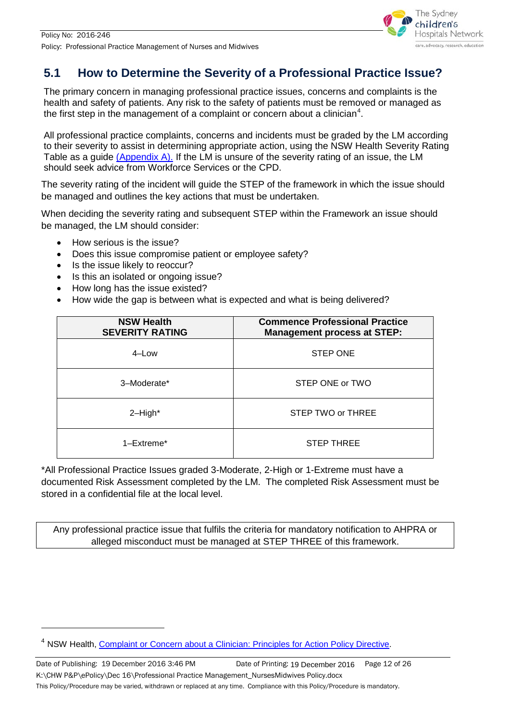

## <span id="page-11-0"></span>**5.1 How to Determine the Severity of a Professional Practice Issue?**

The primary concern in managing professional practice issues, concerns and complaints is the health and safety of patients. Any risk to the safety of patients must be removed or managed as the first step in the management of a complaint or concern about a clinician $^{\text{4}}$  $^{\text{4}}$  $^{\text{4}}$ .

All professional practice complaints, concerns and incidents must be graded by the LM according to their severity to assist in determining appropriate action, using the NSW Health Severity Rating Table as a guide [\(Appendix A\).](#page-24-0) If the LM is unsure of the severity rating of an issue, the LM should seek advice from Workforce Services or the CPD.

The severity rating of the incident will guide the STEP of the framework in which the issue should be managed and outlines the key actions that must be undertaken.

When deciding the severity rating and subsequent STEP within the Framework an issue should be managed, the LM should consider:

- How serious is the issue?
- Does this issue compromise patient or employee safety?
- Is the issue likely to reoccur?

-

- Is this an isolated or ongoing issue?
- How long has the issue existed?
- How wide the gap is between what is expected and what is being delivered?

| <b>NSW Health</b><br><b>SEVERITY RATING</b> | <b>Commence Professional Practice</b><br><b>Management process at STEP:</b> |  |
|---------------------------------------------|-----------------------------------------------------------------------------|--|
| $4$ –Low                                    | <b>STEP ONE</b>                                                             |  |
| 3-Moderate*                                 | STEP ONE or TWO                                                             |  |
| $2$ -High*                                  | STEP TWO or THREE                                                           |  |
| $1 - E$ xtreme $*$                          | <b>STEP THREE</b>                                                           |  |

\*All Professional Practice Issues graded 3-Moderate, 2-High or 1-Extreme must have a documented Risk Assessment completed by the LM. The completed Risk Assessment must be stored in a confidential file at the local level.

Any professional practice issue that fulfils the criteria for mandatory notification to AHPRA or alleged misconduct must be managed at STEP THREE of this framework.

<sup>&</sup>lt;sup>4</sup> NSW Health, [Complaint or Concern about a Clinician: Principles for Action Policy Directive.](http://www0.health.nsw.gov.au/policies/pd/2006/pdf/PD2006_007.pdf)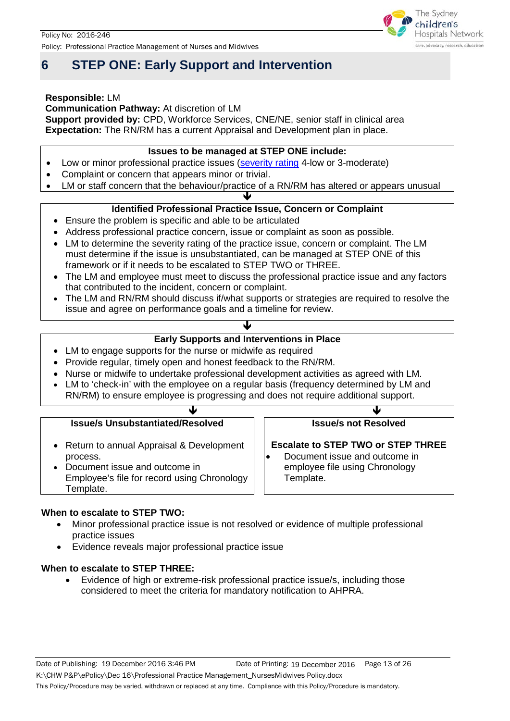# <span id="page-12-0"></span>**6 STEP ONE: Early Support and Intervention**

### **Responsible:** LM

**Communication Pathway:** At discretion of LM

**Support provided by: CPD, Workforce Services, CNE/NE, senior staff in clinical area Expectation:** The RN/RM has a current Appraisal and Development plan in place.

## **Issues to be managed at STEP ONE include:**

- Low or minor professional practice issues [\(severity rating](#page-24-0) 4-low or 3-moderate)
- Complaint or concern that appears minor or trivial.
- LM or staff concern that the behaviour/practice of a RN/RM has altered or appears unusual

#### $\downarrow$ **Identified Professional Practice Issue, Concern or Complaint**

- Ensure the problem is specific and able to be articulated
- Address professional practice concern, issue or complaint as soon as possible.
- LM to determine the severity rating of the practice issue, concern or complaint. The LM must determine if the issue is unsubstantiated, can be managed at STEP ONE of this framework or if it needs to be escalated to STEP TWO or THREE.
- The LM and employee must meet to discuss the professional practice issue and any factors that contributed to the incident, concern or complaint.
- The LM and RN/RM should discuss if/what supports or strategies are required to resolve the issue and agree on performance goals and a timeline for review.

## ↓ **Early Supports and Interventions in Place**

- LM to engage supports for the nurse or midwife as required
- Provide regular, timely open and honest feedback to the RN/RM.
- Nurse or midwife to undertake professional development activities as agreed with LM.
- LM to 'check-in' with the employee on a regular basis (frequency determined by LM and RN/RM) to ensure employee is progressing and does not require additional support.

#### $\mathcal{L}$  and  $\mathcal{L}$ **Issue/s Unsubstantiated/Resolved**

- Return to annual Appraisal & Development process.
- Document issue and outcome in Employee's file for record using Chronology Template.

## **When to escalate to STEP TWO:**

- Minor professional practice issue is not resolved or evidence of multiple professional practice issues
- Evidence reveals major professional practice issue

### **When to escalate to STEP THREE:**

• Evidence of high or extreme-risk professional practice issue/s, including those considered to meet the criteria for mandatory notification to AHPRA.



## **Issue/s not Resolved**

**Escalate to STEP TWO or STEP THREE**

• Document issue and outcome in employee file using Chronology Template.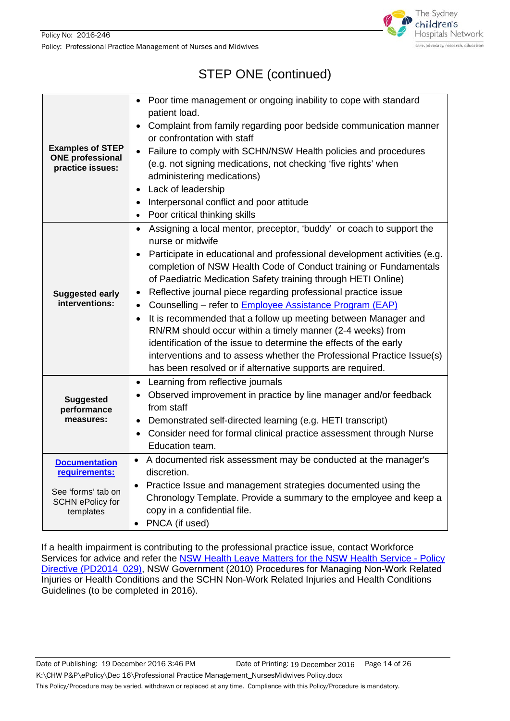

# STEP ONE (continued)

| <b>Examples of STEP</b><br><b>ONE professional</b><br>practice issues:                              | Poor time management or ongoing inability to cope with standard<br>patient load.<br>Complaint from family regarding poor bedside communication manner<br>$\bullet$<br>or confrontation with staff<br>Failure to comply with SCHN/NSW Health policies and procedures<br>$\bullet$<br>(e.g. not signing medications, not checking 'five rights' when<br>administering medications)<br>Lack of leadership<br>$\bullet$<br>Interpersonal conflict and poor attitude<br>$\bullet$<br>Poor critical thinking skills<br>$\bullet$                                                                                                                                                                                                                                                                                                                                    |
|-----------------------------------------------------------------------------------------------------|---------------------------------------------------------------------------------------------------------------------------------------------------------------------------------------------------------------------------------------------------------------------------------------------------------------------------------------------------------------------------------------------------------------------------------------------------------------------------------------------------------------------------------------------------------------------------------------------------------------------------------------------------------------------------------------------------------------------------------------------------------------------------------------------------------------------------------------------------------------|
| <b>Suggested early</b><br>interventions:                                                            | Assigning a local mentor, preceptor, 'buddy' or coach to support the<br>$\bullet$<br>nurse or midwife<br>Participate in educational and professional development activities (e.g.<br>$\bullet$<br>completion of NSW Health Code of Conduct training or Fundamentals<br>of Paediatric Medication Safety training through HETI Online)<br>Reflective journal piece regarding professional practice issue<br>$\bullet$<br>Counselling - refer to <b>Employee Assistance Program (EAP)</b><br>$\bullet$<br>It is recommended that a follow up meeting between Manager and<br>$\bullet$<br>RN/RM should occur within a timely manner (2-4 weeks) from<br>identification of the issue to determine the effects of the early<br>interventions and to assess whether the Professional Practice Issue(s)<br>has been resolved or if alternative supports are required. |
| <b>Suggested</b><br>performance<br>measures:                                                        | Learning from reflective journals<br>$\bullet$<br>Observed improvement in practice by line manager and/or feedback<br>$\bullet$<br>from staff<br>Demonstrated self-directed learning (e.g. HETI transcript)<br>$\bullet$<br>Consider need for formal clinical practice assessment through Nurse<br>Education team.                                                                                                                                                                                                                                                                                                                                                                                                                                                                                                                                            |
| <b>Documentation</b><br>requirements:<br>See 'forms' tab on<br><b>SCHN ePolicy for</b><br>templates | • A documented risk assessment may be conducted at the manager's<br>discretion.<br>• Practice Issue and management strategies documented using the<br>Chronology Template. Provide a summary to the employee and keep a<br>copy in a confidential file.<br>• PNCA (if used)                                                                                                                                                                                                                                                                                                                                                                                                                                                                                                                                                                                   |

If a health impairment is contributing to the professional practice issue, contact Workforce Services for advice and refer the [NSW Health Leave Matters for the NSW Health Service -](http://www0.health.nsw.gov.au/policies/pd/2014/pdf/PD2014_029.pdf) Policy [Directive \(PD2014\\_029\),](http://www0.health.nsw.gov.au/policies/pd/2014/pdf/PD2014_029.pdf) NSW Government (2010) Procedures for Managing Non-Work Related Injuries or Health Conditions and the SCHN Non-Work Related Injuries and Health Conditions Guidelines (to be completed in 2016).

Date of Publishing: 19 December 2016 3:46 PM Date of Printing: 19 December 2016 Page 14 of 26

This Policy/Procedure may be varied, withdrawn or replaced at any time. Compliance with this Policy/Procedure is mandatory.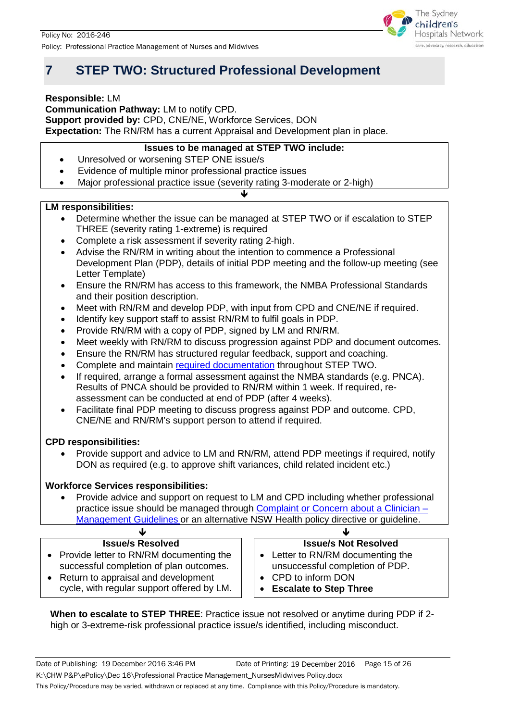

# <span id="page-14-0"></span>**7 STEP TWO: Structured Professional Development**

**Responsible:** LM

**Communication Pathway:** LM to notify CPD. **Support provided by:** CPD, CNE/NE, Workforce Services, DON

**Expectation:** The RN/RM has a current Appraisal and Development plan in place.

## **Issues to be managed at STEP TWO include:**

- Unresolved or worsening STEP ONE issue/s
- Evidence of multiple minor professional practice issues
- Major professional practice issue (severity rating 3-moderate or 2-high)

## **LM responsibilities:**

• Determine whether the issue can be managed at STEP TWO or if escalation to STEP THREE (severity rating 1-extreme) is required

♥

- Complete a risk assessment if severity rating 2-high.
- Advise the RN/RM in writing about the intention to commence a Professional Development Plan (PDP), details of initial PDP meeting and the follow-up meeting (see Letter Template)
- Ensure the RN/RM has access to this framework, the NMBA Professional Standards and their position description.
- Meet with RN/RM and develop PDP, with input from CPD and CNE/NE if required.
- Identify key support staff to assist RN/RM to fulfil goals in PDP.
- Provide RN/RM with a copy of PDP, signed by LM and RN/RM.
- Meet weekly with RN/RM to discuss progression against PDP and document outcomes.
- Ensure the RN/RM has structured regular feedback, support and coaching.
- Complete and maintain [required documentation](#page-23-0) throughout STEP TWO.
- If required, arrange a formal assessment against the NMBA standards (e.g. PNCA). Results of PNCA should be provided to RN/RM within 1 week. If required, reassessment can be conducted at end of PDP (after 4 weeks).
- Facilitate final PDP meeting to discuss progress against PDP and outcome. CPD, CNE/NE and RN/RM's support person to attend if required.

## **CPD responsibilities:**

• Provide support and advice to LM and RN/RM, attend PDP meetings if required, notify DON as required (e.g. to approve shift variances, child related incident etc.)

## **Workforce Services responsibilities:**

• Provide advice and support on request to LM and CPD including whether professional practice issue should be managed through Complaint or Concern about a Clinician -[Management Guidelines](http://www0.health.nsw.gov.au/policies/gl/2006/pdf/GL2006_002.pdf) or an alternative NSW Health policy directive or guideline.

## **Issue/s Resolved**

- Provide letter to RN/RM documenting the successful completion of plan outcomes.
- Return to appraisal and development cycle, with regular support offered by LM.

## $\downarrow$ **Issue/s Not Resolved**

- Letter to RN/RM documenting the unsuccessful completion of PDP.
- CPD to inform DON
- **Escalate to Step Three**

**When to escalate to STEP THREE**: Practice issue not resolved or anytime during PDP if 2 high or 3-extreme-risk professional practice issue/s identified, including misconduct.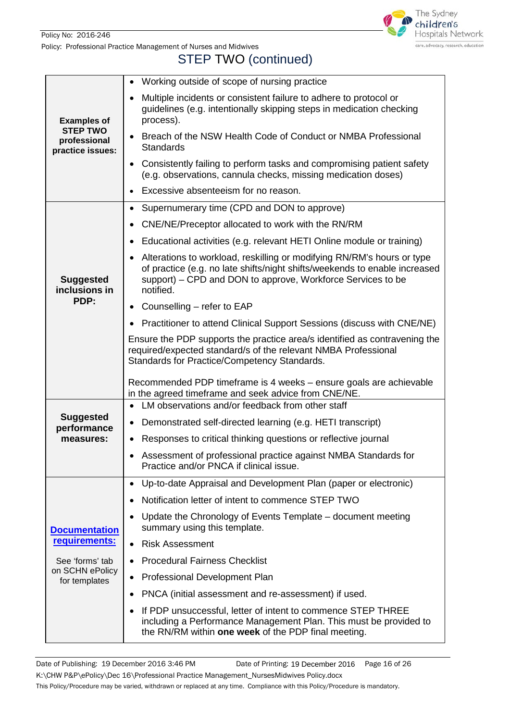

# STEP TWO (continued)

|                                                     | Working outside of scope of nursing practice                                                                                                                                                                                     |  |  |
|-----------------------------------------------------|----------------------------------------------------------------------------------------------------------------------------------------------------------------------------------------------------------------------------------|--|--|
| <b>Examples of</b>                                  | Multiple incidents or consistent failure to adhere to protocol or<br>guidelines (e.g. intentionally skipping steps in medication checking<br>process).                                                                           |  |  |
| <b>STEP TWO</b><br>professional<br>practice issues: | Breach of the NSW Health Code of Conduct or NMBA Professional<br><b>Standards</b>                                                                                                                                                |  |  |
|                                                     | Consistently failing to perform tasks and compromising patient safety<br>(e.g. observations, cannula checks, missing medication doses)                                                                                           |  |  |
|                                                     | Excessive absenteeism for no reason.                                                                                                                                                                                             |  |  |
|                                                     | Supernumerary time (CPD and DON to approve)<br>$\bullet$                                                                                                                                                                         |  |  |
|                                                     | CNE/NE/Preceptor allocated to work with the RN/RM                                                                                                                                                                                |  |  |
|                                                     | Educational activities (e.g. relevant HETI Online module or training)<br>$\bullet$                                                                                                                                               |  |  |
| <b>Suggested</b><br>inclusions in                   | Alterations to workload, reskilling or modifying RN/RM's hours or type<br>of practice (e.g. no late shifts/night shifts/weekends to enable increased<br>support) – CPD and DON to approve, Workforce Services to be<br>notified. |  |  |
| PDP:                                                | • Counselling – refer to EAP                                                                                                                                                                                                     |  |  |
|                                                     | Practitioner to attend Clinical Support Sessions (discuss with CNE/NE)                                                                                                                                                           |  |  |
|                                                     | Ensure the PDP supports the practice area/s identified as contravening the<br>required/expected standard/s of the relevant NMBA Professional<br>Standards for Practice/Competency Standards.                                     |  |  |
|                                                     | Recommended PDP timeframe is 4 weeks - ensure goals are achievable<br>in the agreed timeframe and seek advice from CNE/NE.                                                                                                       |  |  |
|                                                     | LM observations and/or feedback from other staff                                                                                                                                                                                 |  |  |
| <b>Suggested</b><br>performance                     | Demonstrated self-directed learning (e.g. HETI transcript)<br>$\bullet$                                                                                                                                                          |  |  |
| measures:                                           | Responses to critical thinking questions or reflective journal                                                                                                                                                                   |  |  |
|                                                     | • Assessment of professional practice against NMBA Standards for<br>Practice and/or PNCA if clinical issue.                                                                                                                      |  |  |
|                                                     | Up-to-date Appraisal and Development Plan (paper or electronic)<br>$\bullet$                                                                                                                                                     |  |  |
|                                                     | Notification letter of intent to commence STEP TWO                                                                                                                                                                               |  |  |
| <b>Documentation</b>                                | Update the Chronology of Events Template – document meeting<br>summary using this template.                                                                                                                                      |  |  |
| requirements:                                       | <b>Risk Assessment</b><br>$\bullet$                                                                                                                                                                                              |  |  |
| See 'forms' tab                                     | <b>Procedural Fairness Checklist</b>                                                                                                                                                                                             |  |  |
| on SCHN ePolicy<br>for templates                    | Professional Development Plan                                                                                                                                                                                                    |  |  |
|                                                     | PNCA (initial assessment and re-assessment) if used.                                                                                                                                                                             |  |  |
|                                                     | If PDP unsuccessful, letter of intent to commence STEP THREE<br>including a Performance Management Plan. This must be provided to<br>the RN/RM within one week of the PDP final meeting.                                         |  |  |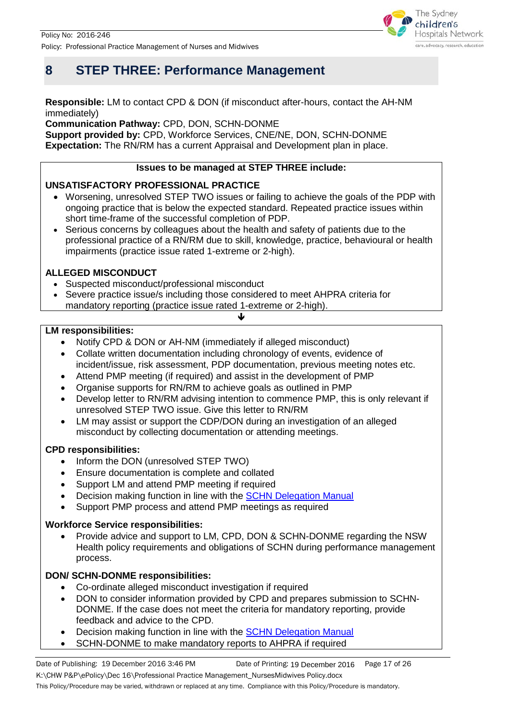

## <span id="page-16-0"></span>**8 STEP THREE: Performance Management**

### **Responsible:** LM to contact CPD & DON (if misconduct after-hours, contact the AH-NM immediately)

**Communication Pathway:** CPD, DON, SCHN-DONME

**Support provided by:** CPD, Workforce Services, CNE/NE, DON, SCHN-DONME **Expectation:** The RN/RM has a current Appraisal and Development plan in place.

## **Issues to be managed at STEP THREE include:**

## **UNSATISFACTORY PROFESSIONAL PRACTICE**

- Worsening, unresolved STEP TWO issues or failing to achieve the goals of the PDP with ongoing practice that is below the expected standard. Repeated practice issues within short time-frame of the successful completion of PDP.
- Serious concerns by colleagues about the health and safety of patients due to the professional practice of a RN/RM due to skill, knowledge, practice, behavioural or health impairments (practice issue rated 1-extreme or 2-high).

## **ALLEGED MISCONDUCT**

- Suspected misconduct/professional misconduct
- Severe practice issue/s including those considered to meet AHPRA criteria for mandatory reporting (practice issue rated 1-extreme or 2-high).

### **LM responsibilities:**

- Notify CPD & DON or AH-NM (immediately if alleged misconduct)
- Collate written documentation including chronology of events, evidence of incident/issue, risk assessment, PDP documentation, previous meeting notes etc.

 $\downarrow$ 

- Attend PMP meeting (if required) and assist in the development of PMP
- Organise supports for RN/RM to achieve goals as outlined in PMP
- Develop letter to RN/RM advising intention to commence PMP, this is only relevant if unresolved STEP TWO issue. Give this letter to RN/RM
- LM may assist or support the CDP/DON during an investigation of an alleged misconduct by collecting documentation or attending meetings.

### **CPD responsibilities:**

- Inform the DON (unresolved STEP TWO)
- Ensure documentation is complete and collated
- Support LM and attend PMP meeting if required
- Decision making function in line with the [SCHN Delegation Manual](http://webapps.schn.health.nsw.gov.au/epolicy/policy/3024/download)
- Support PMP process and attend PMP meetings as required

### **Workforce Service responsibilities:**

• Provide advice and support to LM, CPD, DON & SCHN-DONME regarding the NSW Health policy requirements and obligations of SCHN during performance management process.

## **DON/ SCHN-DONME responsibilities:**

- Co-ordinate alleged misconduct investigation if required
- DON to consider information provided by CPD and prepares submission to SCHN-DONME. If the case does not meet the criteria for mandatory reporting, provide feedback and advice to the CPD.
- Decision making function in line with the **SCHN Delegation Manual**
- SCHN-DONME to make mandatory reports to AHPRA if required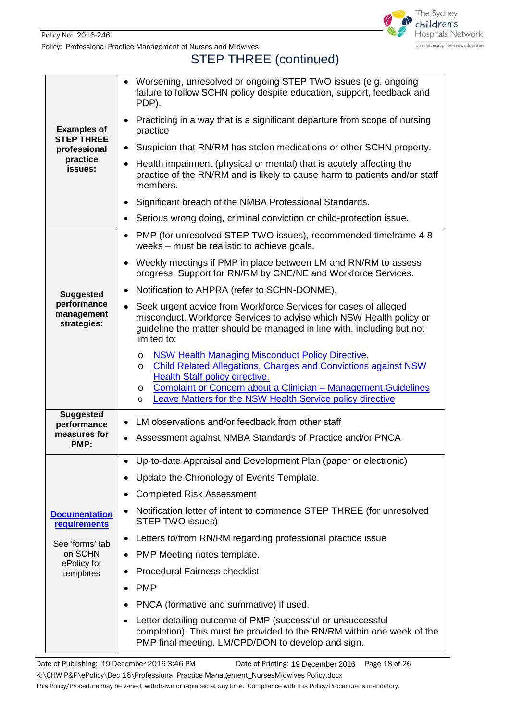

# STEP THREE (continued)

|                                             | Worsening, unresolved or ongoing STEP TWO issues (e.g. ongoing<br>failure to follow SCHN policy despite education, support, feedback and<br>PDP).                                                                                                                                                                                  |  |  |  |
|---------------------------------------------|------------------------------------------------------------------------------------------------------------------------------------------------------------------------------------------------------------------------------------------------------------------------------------------------------------------------------------|--|--|--|
| <b>Examples of</b>                          | Practicing in a way that is a significant departure from scope of nursing<br>practice                                                                                                                                                                                                                                              |  |  |  |
| <b>STEP THREE</b><br>professional           | Suspicion that RN/RM has stolen medications or other SCHN property.<br>$\bullet$                                                                                                                                                                                                                                                   |  |  |  |
| practice<br>issues:                         | Health impairment (physical or mental) that is acutely affecting the<br>practice of the RN/RM and is likely to cause harm to patients and/or staff<br>members.                                                                                                                                                                     |  |  |  |
|                                             | Significant breach of the NMBA Professional Standards.<br>$\bullet$                                                                                                                                                                                                                                                                |  |  |  |
|                                             | Serious wrong doing, criminal conviction or child-protection issue.                                                                                                                                                                                                                                                                |  |  |  |
|                                             | PMP (for unresolved STEP TWO issues), recommended timeframe 4-8<br>$\bullet$<br>weeks – must be realistic to achieve goals.                                                                                                                                                                                                        |  |  |  |
|                                             | Weekly meetings if PMP in place between LM and RN/RM to assess<br>progress. Support for RN/RM by CNE/NE and Workforce Services.                                                                                                                                                                                                    |  |  |  |
| <b>Suggested</b>                            | Notification to AHPRA (refer to SCHN-DONME).<br>$\bullet$                                                                                                                                                                                                                                                                          |  |  |  |
| performance<br>management<br>strategies:    | Seek urgent advice from Workforce Services for cases of alleged<br>misconduct. Workforce Services to advise which NSW Health policy or<br>guideline the matter should be managed in line with, including but not<br>limited to:                                                                                                    |  |  |  |
|                                             | <b>NSW Health Managing Misconduct Policy Directive.</b><br>O<br><b>Child Related Allegations, Charges and Convictions against NSW</b><br>O<br><b>Health Staff policy directive.</b><br>Complaint or Concern about a Clinician - Management Guidelines<br>O<br>Leave Matters for the NSW Health Service policy directive<br>$\circ$ |  |  |  |
| <b>Suggested</b><br>performance             | LM observations and/or feedback from other staff<br>$\bullet$                                                                                                                                                                                                                                                                      |  |  |  |
| measures for<br>PMP:                        | Assessment against NMBA Standards of Practice and/or PNCA<br>$\bullet$                                                                                                                                                                                                                                                             |  |  |  |
|                                             | Up-to-date Appraisal and Development Plan (paper or electronic)                                                                                                                                                                                                                                                                    |  |  |  |
|                                             | Update the Chronology of Events Template.                                                                                                                                                                                                                                                                                          |  |  |  |
|                                             | <b>Completed Risk Assessment</b><br>$\bullet$                                                                                                                                                                                                                                                                                      |  |  |  |
| <b>Documentation</b><br><b>requirements</b> | Notification letter of intent to commence STEP THREE (for unresolved<br>STEP TWO issues)                                                                                                                                                                                                                                           |  |  |  |
| See 'forms' tab                             | Letters to/from RN/RM regarding professional practice issue                                                                                                                                                                                                                                                                        |  |  |  |
| on SCHN<br>ePolicy for                      | PMP Meeting notes template.<br>٠                                                                                                                                                                                                                                                                                                   |  |  |  |
| templates                                   | <b>Procedural Fairness checklist</b>                                                                                                                                                                                                                                                                                               |  |  |  |
|                                             | <b>PMP</b><br>٠                                                                                                                                                                                                                                                                                                                    |  |  |  |
|                                             | PNCA (formative and summative) if used.                                                                                                                                                                                                                                                                                            |  |  |  |
|                                             | Letter detailing outcome of PMP (successful or unsuccessful<br>completion). This must be provided to the RN/RM within one week of the<br>PMP final meeting. LM/CPD/DON to develop and sign.                                                                                                                                        |  |  |  |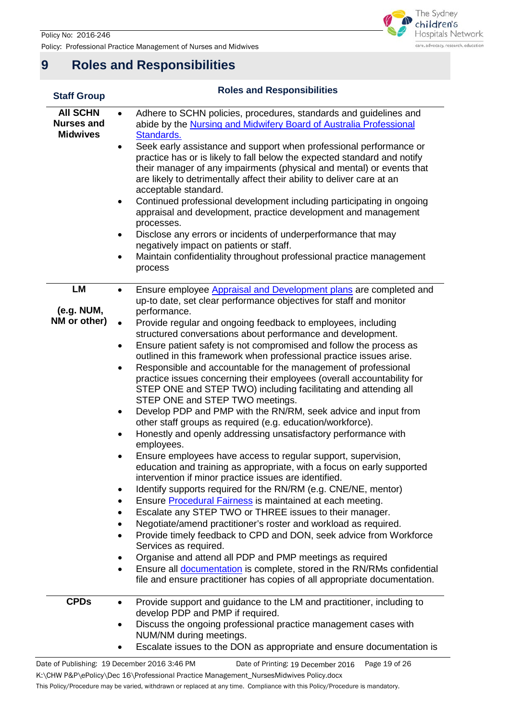

## <span id="page-18-0"></span>**9 Roles and Responsibilities**

| <b>Staff Group</b>                                      | <b>Roles and Responsibilities</b>                                                                                                                                                                                                                                                                                                                                                                                                                                                                                                                                                                                                                                                                                                                                                                                                                                                                                                                                                                                                                                                                                                                                                                                                                                                                                                                                                                                                                                                                                                                                                                                                                                                                                                                                           |  |  |
|---------------------------------------------------------|-----------------------------------------------------------------------------------------------------------------------------------------------------------------------------------------------------------------------------------------------------------------------------------------------------------------------------------------------------------------------------------------------------------------------------------------------------------------------------------------------------------------------------------------------------------------------------------------------------------------------------------------------------------------------------------------------------------------------------------------------------------------------------------------------------------------------------------------------------------------------------------------------------------------------------------------------------------------------------------------------------------------------------------------------------------------------------------------------------------------------------------------------------------------------------------------------------------------------------------------------------------------------------------------------------------------------------------------------------------------------------------------------------------------------------------------------------------------------------------------------------------------------------------------------------------------------------------------------------------------------------------------------------------------------------------------------------------------------------------------------------------------------------|--|--|
| <b>AII SCHN</b><br><b>Nurses and</b><br><b>Midwives</b> | Adhere to SCHN policies, procedures, standards and guidelines and<br>$\bullet$<br>abide by the Nursing and Midwifery Board of Australia Professional<br>Standards.<br>Seek early assistance and support when professional performance or<br>٠<br>practice has or is likely to fall below the expected standard and notify<br>their manager of any impairments (physical and mental) or events that<br>are likely to detrimentally affect their ability to deliver care at an<br>acceptable standard.<br>Continued professional development including participating in ongoing<br>٠<br>appraisal and development, practice development and management<br>processes.<br>Disclose any errors or incidents of underperformance that may<br>٠<br>negatively impact on patients or staff.<br>Maintain confidentiality throughout professional practice management<br>$\bullet$<br>process                                                                                                                                                                                                                                                                                                                                                                                                                                                                                                                                                                                                                                                                                                                                                                                                                                                                                         |  |  |
| LM<br>(e.g. NUM,<br>NM or other)                        | Ensure employee Appraisal and Development plans are completed and<br>$\bullet$<br>up-to date, set clear performance objectives for staff and monitor<br>performance.<br>Provide regular and ongoing feedback to employees, including<br>$\bullet$<br>structured conversations about performance and development.<br>Ensure patient safety is not compromised and follow the process as<br>٠<br>outlined in this framework when professional practice issues arise.<br>Responsible and accountable for the management of professional<br>$\bullet$<br>practice issues concerning their employees (overall accountability for<br>STEP ONE and STEP TWO) including facilitating and attending all<br>STEP ONE and STEP TWO meetings.<br>Develop PDP and PMP with the RN/RM, seek advice and input from<br>٠<br>other staff groups as required (e.g. education/workforce).<br>Honestly and openly addressing unsatisfactory performance with<br>$\bullet$<br>employees.<br>Ensure employees have access to regular support, supervision,<br>education and training as appropriate, with a focus on early supported<br>intervention if minor practice issues are identified.<br>Identify supports required for the RN/RM (e.g. CNE/NE, mentor)<br>Ensure Procedural Fairness is maintained at each meeting.<br>$\bullet$<br>Escalate any STEP TWO or THREE issues to their manager.<br>Negotiate/amend practitioner's roster and workload as required.<br>Provide timely feedback to CPD and DON, seek advice from Workforce<br>Services as required.<br>Organise and attend all PDP and PMP meetings as required<br>Ensure all <b>documentation</b> is complete, stored in the RN/RMs confidential<br>file and ensure practitioner has copies of all appropriate documentation. |  |  |
| <b>CPDs</b>                                             | Provide support and guidance to the LM and practitioner, including to<br>$\bullet$<br>develop PDP and PMP if required.<br>Discuss the ongoing professional practice management cases with<br>$\bullet$<br>NUM/NM during meetings.<br>Escalate issues to the DON as appropriate and ensure documentation is                                                                                                                                                                                                                                                                                                                                                                                                                                                                                                                                                                                                                                                                                                                                                                                                                                                                                                                                                                                                                                                                                                                                                                                                                                                                                                                                                                                                                                                                  |  |  |
|                                                         | ite of Publishing: 19 December 2016 3:46 PM<br>Date of Printing: 10 December 2016 Page 19 of 26                                                                                                                                                                                                                                                                                                                                                                                                                                                                                                                                                                                                                                                                                                                                                                                                                                                                                                                                                                                                                                                                                                                                                                                                                                                                                                                                                                                                                                                                                                                                                                                                                                                                             |  |  |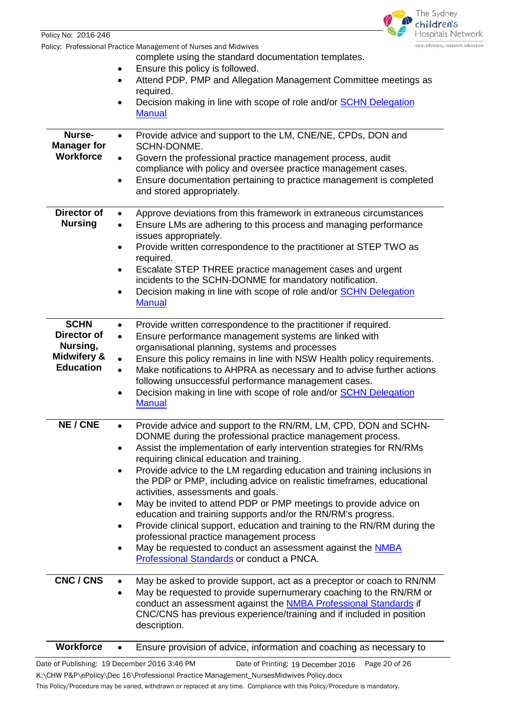|                                                                                      | The Sydney<br>children's                                                                                                                                                                                                                                                                                                                                                                                                                                                                                                                                                                                                                                                                                                                                                                                                                                                             |  |  |
|--------------------------------------------------------------------------------------|--------------------------------------------------------------------------------------------------------------------------------------------------------------------------------------------------------------------------------------------------------------------------------------------------------------------------------------------------------------------------------------------------------------------------------------------------------------------------------------------------------------------------------------------------------------------------------------------------------------------------------------------------------------------------------------------------------------------------------------------------------------------------------------------------------------------------------------------------------------------------------------|--|--|
| Policy No: 2016-246                                                                  | Hospitals Network                                                                                                                                                                                                                                                                                                                                                                                                                                                                                                                                                                                                                                                                                                                                                                                                                                                                    |  |  |
|                                                                                      | care, advocacy, research, education<br>Policy: Professional Practice Management of Nurses and Midwives<br>complete using the standard documentation templates.<br>Ensure this policy is followed.<br>٠<br>Attend PDP, PMP and Allegation Management Committee meetings as<br>$\bullet$<br>required.                                                                                                                                                                                                                                                                                                                                                                                                                                                                                                                                                                                  |  |  |
|                                                                                      | Decision making in line with scope of role and/or SCHN Delegation<br>$\bullet$<br><b>Manual</b>                                                                                                                                                                                                                                                                                                                                                                                                                                                                                                                                                                                                                                                                                                                                                                                      |  |  |
| Nurse-<br><b>Manager for</b><br><b>Workforce</b>                                     | Provide advice and support to the LM, CNE/NE, CPDs, DON and<br>$\bullet$<br>SCHN-DONME.<br>Govern the professional practice management process, audit<br>٠<br>compliance with policy and oversee practice management cases.<br>Ensure documentation pertaining to practice management is completed<br>$\bullet$<br>and stored appropriately.                                                                                                                                                                                                                                                                                                                                                                                                                                                                                                                                         |  |  |
| <b>Director of</b><br><b>Nursing</b>                                                 | Approve deviations from this framework in extraneous circumstances<br>$\bullet$<br>Ensure LMs are adhering to this process and managing performance<br>issues appropriately.<br>Provide written correspondence to the practitioner at STEP TWO as<br>$\bullet$<br>required.<br>Escalate STEP THREE practice management cases and urgent<br>٠<br>incidents to the SCHN-DONME for mandatory notification.<br>Decision making in line with scope of role and/or SCHN Delegation<br>٠<br><b>Manual</b>                                                                                                                                                                                                                                                                                                                                                                                   |  |  |
| <b>SCHN</b><br>Director of<br>Nursing,<br><b>Midwifery &amp;</b><br><b>Education</b> | Provide written correspondence to the practitioner if required.<br>$\bullet$<br>Ensure performance management systems are linked with<br>$\bullet$<br>organisational planning, systems and processes<br>Ensure this policy remains in line with NSW Health policy requirements.<br>$\bullet$<br>Make notifications to AHPRA as necessary and to advise further actions<br>$\bullet$<br>following unsuccessful performance management cases.<br>Decision making in line with scope of role and/or <b>SCHN Delegation</b><br><b>Manual</b>                                                                                                                                                                                                                                                                                                                                             |  |  |
| <b>NE / CNE</b>                                                                      | Provide advice and support to the RN/RM, LM, CPD, DON and SCHN-<br>$\bullet$<br>DONME during the professional practice management process.<br>Assist the implementation of early intervention strategies for RN/RMs<br>$\bullet$<br>requiring clinical education and training.<br>Provide advice to the LM regarding education and training inclusions in<br>٠<br>the PDP or PMP, including advice on realistic timeframes, educational<br>activities, assessments and goals.<br>May be invited to attend PDP or PMP meetings to provide advice on<br>$\bullet$<br>education and training supports and/or the RN/RM's progress.<br>Provide clinical support, education and training to the RN/RM during the<br>$\bullet$<br>professional practice management process<br>May be requested to conduct an assessment against the NMBA<br>٠<br>Professional Standards or conduct a PNCA. |  |  |
| CNC / CNS                                                                            | May be asked to provide support, act as a preceptor or coach to RN/NM<br>$\bullet$<br>May be requested to provide supernumerary coaching to the RN/RM or<br>٠<br>conduct an assessment against the <b>NMBA Professional Standards</b> if<br>CNC/CNS has previous experience/training and if included in position<br>description.                                                                                                                                                                                                                                                                                                                                                                                                                                                                                                                                                     |  |  |
| <b>Workforce</b>                                                                     | Ensure provision of advice, information and coaching as necessary to<br>٠                                                                                                                                                                                                                                                                                                                                                                                                                                                                                                                                                                                                                                                                                                                                                                                                            |  |  |

Date of Publishing: 19 December 2016 3:46 PM Date of Printing: 19 December 2016 Page 20 of 26 K:\CHW P&P\ePolicy\Dec 16\Professional Practice Management\_NursesMidwives Policy.docx

This Policy/Procedure may be varied, withdrawn or replaced at any time. Compliance with this Policy/Procedure is mandatory.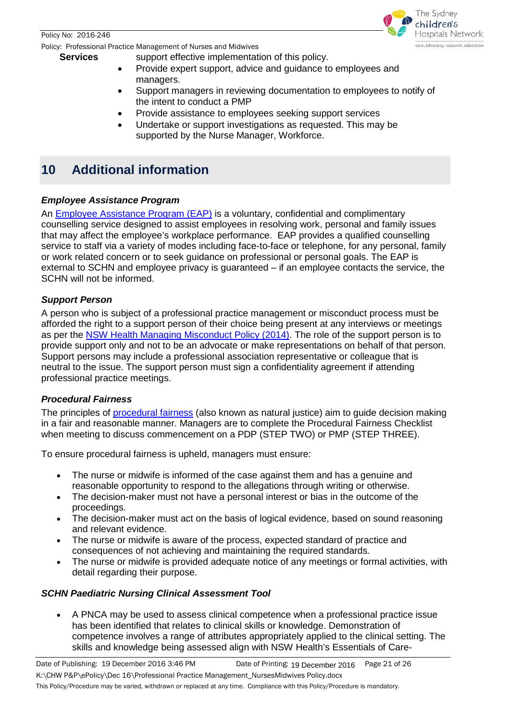Policy: Professional Practice Management of Nurses and Midwives

The Sydney hildren's **Hospitals Network** care, advocacy, research, education

- **Services** support effective implementation of this policy.
	- Provide expert support, advice and guidance to employees and managers.
	- Support managers in reviewing documentation to employees to notify of the intent to conduct a PMP
	- Provide assistance to employees seeking support services
	- Undertake or support investigations as requested. This may be supported by the Nurse Manager, Workforce.

## <span id="page-20-0"></span>**10 Additional information**

## <span id="page-20-1"></span>*Employee Assistance Program*

An [Employee Assistance Program \(EAP\)](http://intranet.schn.health.nsw.gov.au/our-people/employee-assistance-program) is a voluntary, confidential and complimentary counselling service designed to assist employees in resolving work, personal and family issues that may affect the employee's workplace performance. EAP provides a qualified counselling service to staff via a variety of modes including face-to-face or telephone, for any personal, family or work related concern or to seek guidance on professional or personal goals. The EAP is external to SCHN and employee privacy is guaranteed – if an employee contacts the service, the SCHN will not be informed.

## <span id="page-20-2"></span>*Support Person*

A person who is subject of a professional practice management or misconduct process must be afforded the right to a support person of their choice being present at any interviews or meetings as per the [NSW Health Managing Misconduct Policy \(2014\).](http://www0.health.nsw.gov.au/policies/pd/2014/pdf/PD2014_042.pdf) The role of the support person is to provide support only and not to be an advocate or make representations on behalf of that person. Support persons may include a professional association representative or colleague that is neutral to the issue. The support person must sign a confidentiality agreement if attending professional practice meetings.

### <span id="page-20-3"></span>*Procedural Fairness*

The principles of [procedural fairness](https://www.ombo.nsw.gov.au/__data/assets/pdf_file/0017/3707/FS_PSA_14_Natural_justice_Procedural_fairness.pdf) (also known as natural justice) aim to guide decision making in a fair and reasonable manner. Managers are to complete the Procedural Fairness Checklist when meeting to discuss commencement on a PDP (STEP TWO) or PMP (STEP THREE).

To ensure procedural fairness is upheld, managers must ensure:

- The nurse or midwife is informed of the case against them and has a genuine and reasonable opportunity to respond to the allegations through writing or otherwise.
- The decision-maker must not have a personal interest or bias in the outcome of the proceedings.
- The decision-maker must act on the basis of logical evidence, based on sound reasoning and relevant evidence.
- The nurse or midwife is aware of the process, expected standard of practice and consequences of not achieving and maintaining the required standards.
- The nurse or midwife is provided adequate notice of any meetings or formal activities, with detail regarding their purpose.

## <span id="page-20-4"></span>*SCHN Paediatric Nursing Clinical Assessment Tool*

• A PNCA may be used to assess clinical competence when a professional practice issue has been identified that relates to clinical skills or knowledge. Demonstration of competence involves a range of attributes appropriately applied to the clinical setting. The skills and knowledge being assessed align with NSW Health's Essentials of Care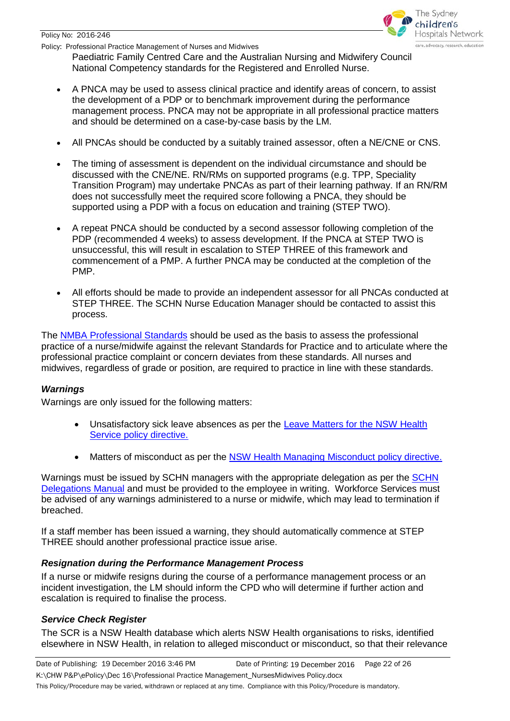Policy No: 2016-246

Policy: Professional Practice Management of Nurses and Midwives



Paediatric Family Centred Care and the Australian Nursing and Midwifery Council National Competency standards for the Registered and Enrolled Nurse.

- A PNCA may be used to assess clinical practice and identify areas of concern, to assist the development of a PDP or to benchmark improvement during the performance management process. PNCA may not be appropriate in all professional practice matters and should be determined on a case-by-case basis by the LM.
- All PNCAs should be conducted by a suitably trained assessor, often a NE/CNE or CNS.
- The timing of assessment is dependent on the individual circumstance and should be discussed with the CNE/NE. RN/RMs on supported programs (e.g. TPP, Speciality Transition Program) may undertake PNCAs as part of their learning pathway. If an RN/RM does not successfully meet the required score following a PNCA, they should be supported using a PDP with a focus on education and training (STEP TWO).
- A repeat PNCA should be conducted by a second assessor following completion of the PDP (recommended 4 weeks) to assess development. If the PNCA at STEP TWO is unsuccessful, this will result in escalation to STEP THREE of this framework and commencement of a PMP. A further PNCA may be conducted at the completion of the PMP.
- All efforts should be made to provide an independent assessor for all PNCAs conducted at STEP THREE. The SCHN Nurse Education Manager should be contacted to assist this process.

The [NMBA Professional Standards](http://www.nursingmidwiferyboard.gov.au/Codes-Guidelines-Statements/Professional-standards.aspx) should be used as the basis to assess the professional practice of a nurse/midwife against the relevant Standards for Practice and to articulate where the professional practice complaint or concern deviates from these standards. All nurses and midwives, regardless of grade or position, are required to practice in line with these standards.

## <span id="page-21-0"></span>*Warnings*

Warnings are only issued for the following matters:

- Unsatisfactory sick leave absences as per the **Leave Matters for the NSW Health** [Service policy directive.](http://www0.health.nsw.gov.au/policies/pd/2014/pdf/PD2014_029.pdf)
- Matters of misconduct as per the [NSW Health Managing Misconduct policy directive.](http://www0.health.nsw.gov.au/policies/pd/2014/pdf/PD2014_042.pdf)

Warnings must be issued by SCHN managers with the appropriate delegation as per the [SCHN](http://webapps.schn.health.nsw.gov.au/epolicy/policy/3024/download)  [Delegations Manual](http://webapps.schn.health.nsw.gov.au/epolicy/policy/3024/download) and must be provided to the employee in writing. Workforce Services must be advised of any warnings administered to a nurse or midwife, which may lead to termination if breached.

If a staff member has been issued a warning, they should automatically commence at STEP THREE should another professional practice issue arise.

## <span id="page-21-1"></span>*Resignation during the Performance Management Process*

If a nurse or midwife resigns during the course of a performance management process or an incident investigation, the LM should inform the CPD who will determine if further action and escalation is required to finalise the process.

## <span id="page-21-2"></span>*Service Check Register*

The SCR is a NSW Health database which alerts NSW Health organisations to risks, identified elsewhere in NSW Health, in relation to alleged misconduct or misconduct, so that their relevance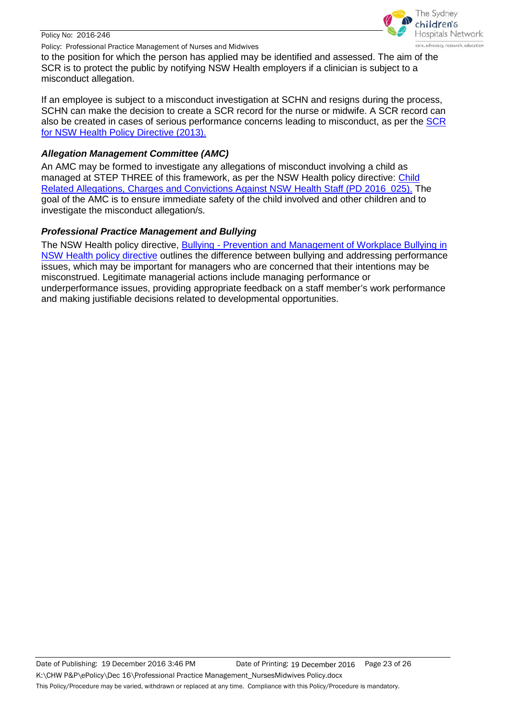#### Policy No: 2016-246

Policy: Professional Practice Management of Nurses and Midwives



to the position for which the person has applied may be identified and assessed. The aim of the SCR is to protect the public by notifying NSW Health employers if a clinician is subject to a misconduct allegation.

If an employee is subject to a misconduct investigation at SCHN and resigns during the process, SCHN can make the decision to create a SCR record for the nurse or midwife. A SCR record can also be created in cases of serious performance concerns leading to misconduct, as per the [SCR](http://www0.health.nsw.gov.au/policies/pd/2013/pdf/PD2013_036.pdf)  [for NSW Health Policy Directive \(2013\).](http://www0.health.nsw.gov.au/policies/pd/2013/pdf/PD2013_036.pdf)

## <span id="page-22-0"></span>*Allegation Management Committee (AMC)*

An AMC may be formed to investigate any allegations of misconduct involving a child as managed at STEP THREE of this framework, as per the NSW Health policy directive: [Child](http://www0.health.nsw.gov.au/policies/pd/2016/pdf/PD2016_025.pdf)  Related Allegations, Charges and Convictions Against NSW Health Staff (PD 2016 025). The goal of the AMC is to ensure immediate safety of the child involved and other children and to investigate the misconduct allegation/s.

## <span id="page-22-1"></span>*Professional Practice Management and Bullying*

The NSW Health policy directive, Bullying - [Prevention and Management of Workplace Bullying in](http://www0.health.nsw.gov.au/policies/pd/2011/pdf/PD2011_018.pdf)  [NSW Health policy directive](http://www0.health.nsw.gov.au/policies/pd/2011/pdf/PD2011_018.pdf) outlines the difference between bullying and addressing performance issues, which may be important for managers who are concerned that their intentions may be misconstrued. Legitimate managerial actions include managing performance or underperformance issues, providing appropriate feedback on a staff member's work performance and making justifiable decisions related to developmental opportunities.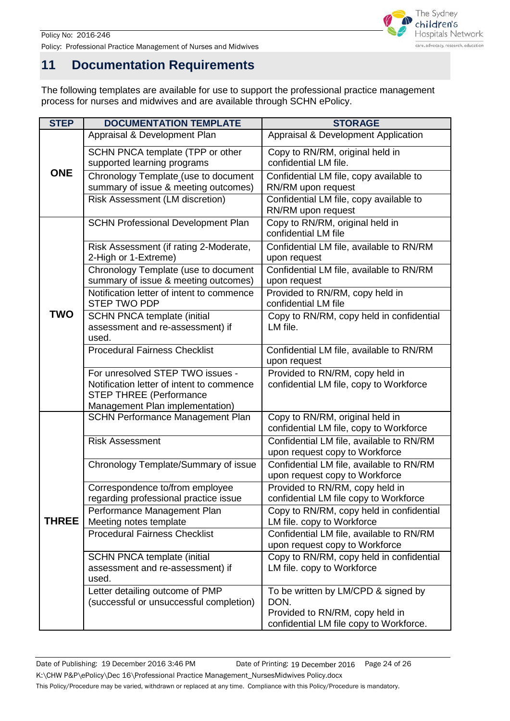

Policy No: 2016-246 Policy: Professional Practice Management of Nurses and Midwives

## <span id="page-23-0"></span>**11 Documentation Requirements**

The following templates are available for use to support the professional practice management process for nurses and midwives and are available through SCHN ePolicy.

<span id="page-23-1"></span>

| <b>STEP</b>  | <b>DOCUMENTATION TEMPLATE</b>                                                                                                                      | <b>STORAGE</b>                                                                                                            |
|--------------|----------------------------------------------------------------------------------------------------------------------------------------------------|---------------------------------------------------------------------------------------------------------------------------|
|              | Appraisal & Development Plan                                                                                                                       | Appraisal & Development Application                                                                                       |
| <b>ONE</b>   | SCHN PNCA template (TPP or other<br>supported learning programs                                                                                    | Copy to RN/RM, original held in<br>confidential LM file.                                                                  |
|              | Chronology Template (use to document<br>summary of issue & meeting outcomes)                                                                       | Confidential LM file, copy available to<br>RN/RM upon request                                                             |
|              | Risk Assessment (LM discretion)                                                                                                                    | Confidential LM file, copy available to<br>RN/RM upon request                                                             |
|              | <b>SCHN Professional Development Plan</b>                                                                                                          | Copy to RN/RM, original held in<br>confidential LM file                                                                   |
|              | Risk Assessment (if rating 2-Moderate,<br>2-High or 1-Extreme)                                                                                     | Confidential LM file, available to RN/RM<br>upon request                                                                  |
|              | Chronology Template (use to document<br>summary of issue & meeting outcomes)                                                                       | Confidential LM file, available to RN/RM<br>upon request                                                                  |
|              | Notification letter of intent to commence<br><b>STEP TWO PDP</b>                                                                                   | Provided to RN/RM, copy held in<br>confidential LM file                                                                   |
| <b>TWO</b>   | <b>SCHN PNCA template (initial</b><br>assessment and re-assessment) if<br>used.                                                                    | Copy to RN/RM, copy held in confidential<br>LM file.                                                                      |
|              | <b>Procedural Fairness Checklist</b>                                                                                                               | Confidential LM file, available to RN/RM<br>upon request                                                                  |
|              | For unresolved STEP TWO issues -<br>Notification letter of intent to commence<br><b>STEP THREE (Performance</b><br>Management Plan implementation) | Provided to RN/RM, copy held in<br>confidential LM file, copy to Workforce                                                |
|              | <b>SCHN Performance Management Plan</b>                                                                                                            | Copy to RN/RM, original held in<br>confidential LM file, copy to Workforce                                                |
|              | <b>Risk Assessment</b>                                                                                                                             | Confidential LM file, available to RN/RM<br>upon request copy to Workforce                                                |
|              | Chronology Template/Summary of issue                                                                                                               | Confidential LM file, available to RN/RM<br>upon request copy to Workforce                                                |
|              | Correspondence to/from employee<br>regarding professional practice issue                                                                           | Provided to RN/RM, copy held in<br>confidential LM file copy to Workforce                                                 |
| <b>THREE</b> | Performance Management Plan<br>Meeting notes template                                                                                              | Copy to RN/RM, copy held in confidential<br>LM file. copy to Workforce                                                    |
|              | <b>Procedural Fairness Checklist</b>                                                                                                               | Confidential LM file, available to RN/RM<br>upon request copy to Workforce                                                |
|              | <b>SCHN PNCA template (initial</b><br>assessment and re-assessment) if<br>used.                                                                    | Copy to RN/RM, copy held in confidential<br>LM file. copy to Workforce                                                    |
|              | Letter detailing outcome of PMP<br>(successful or unsuccessful completion)                                                                         | To be written by LM/CPD & signed by<br>DON.<br>Provided to RN/RM, copy held in<br>confidential LM file copy to Workforce. |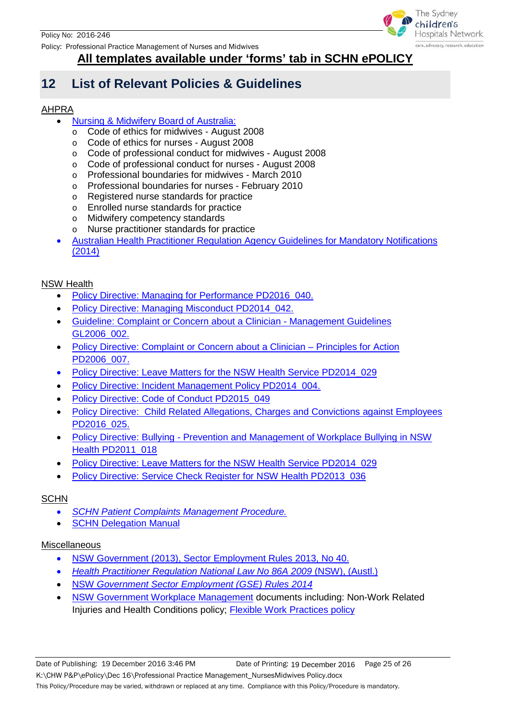Policy: Professional Practice Management of Nurses and Midwives



## **All templates available under 'forms' tab in SCHN ePOLICY**

## **12 List of Relevant Policies & Guidelines**

## AHPRA

- [Nursing & Midwifery Board of Australia:](http://www.nursingmidwiferyboard.gov.au/Codes-Guidelines-Statements/Professional-standards.aspx)
	- o Code of ethics for midwives August 2008
	- o Code of ethics for nurses August 2008
	- o Code of professional conduct for midwives August 2008
	- o Code of professional conduct for nurses August 2008
	- o Professional boundaries for midwives March 2010
	- o Professional boundaries for nurses February 2010
	- o Registered nurse standards for practice
	- o Enrolled nurse standards for practice
	- o Midwifery competency standards
	- o Nurse practitioner standards for practice
- [Australian Health Practitioner Regulation Agency Guidelines for Mandatory Notifications](http://www.nursingmidwiferyboard.gov.au/Codes-Guidelines-Statements/Codes-Guidelines/Guidelines-for-mandatory-notifications.aspx)  [\(2014\)](http://www.nursingmidwiferyboard.gov.au/Codes-Guidelines-Statements/Codes-Guidelines/Guidelines-for-mandatory-notifications.aspx)

## NSW Health

- Policy Directive: Managing for Performance PD2016 040.
- [Policy Directive: Managing Misconduct PD2014\\_042.](http://www0.health.nsw.gov.au/policies/pd/2014/pdf/PD2014_042.pdf)
- [Guideline: Complaint or Concern about a Clinician -](http://www0.health.nsw.gov.au/policies/gl/2006/pdf/GL2006_002.pdf) Management Guidelines [GL2006\\_002.](http://www0.health.nsw.gov.au/policies/gl/2006/pdf/GL2006_002.pdf)
- [Policy Directive: Complaint or Concern about a Clinician –](http://www0.health.nsw.gov.au/policies/pd/2006/pdf/PD2006_007.pdf) Principles for Action [PD2006\\_007.](http://www0.health.nsw.gov.au/policies/pd/2006/pdf/PD2006_007.pdf)
- Policy Directive: [Leave Matters for the NSW Health Service PD2014\\_029](http://www0.health.nsw.gov.au/policies/pd/2014/pdf/PD2014_029.pdf)
- Policy Directive: Incident Management Policy PD2014 004.
- [Policy Directive: Code of Conduct PD2015\\_049](http://www0.health.nsw.gov.au/policies/pd/2015/pdf/PD2015_049.pdf)
- [Policy Directive: Child Related Allegations, Charges and Convictions against](http://www0.health.nsw.gov.au/policies/pd/2016/pdf/PD2016_025.pdf) Employees [PD2016\\_025.](http://www0.health.nsw.gov.au/policies/pd/2016/pdf/PD2016_025.pdf)
- Policy Directive: Bullying Prevention and Management of Workplace Bullying in NSW [Health P](http://www0.health.nsw.gov.au/policies/pd/2011/pdf/PD2011_018.pdf)D2011\_018
- [Policy Directive: Leave Matters for the NSW Health Service PD2014\\_029](http://www0.health.nsw.gov.au/policies/pd/2014/PD2014_029.html)
- [Policy Directive: Service Check Register for NSW Health PD2013\\_036](http://www0.health.nsw.gov.au/policies/pd/2013/pdf/PD2013_036.pdf)

## **SCHN**

- *[SCHN Patient Complaints Management Procedure.](http://webapps.schn.health.nsw.gov.au/epolicy/policy/3591/download)*
- **[SCHN Delegation Manual](http://webapps.schn.health.nsw.gov.au/epolicy/policy/3024/download)**

### Miscellaneous

- [NSW Government \(2013\), Sector Employment Rules](http://www.legislation.nsw.gov.au/inforce/fbe0b6d3-3c4e-45d8-b5b4-75b95876f3a8/2014-65.pdf) 2013, No 40.
- *[Health Practitioner Regulation National Law No 86A](http://www.austlii.edu.au/au/legis/nsw/consol_act/hprnl460/) 2009* (NSW), (Austl.)
- NSW *[Government Sector Employment \(GSE\) Rules 2014](http://www.legislation.nsw.gov.au/#/view/regulation/2014/65/part7/rule.36)*
- <span id="page-24-0"></span>• [NSW Government Workplace Management](http://www.health.nsw.gov.au/careers/hrcompendium/Pages/Workplace-management.aspx) documents including: Non-Work Related Injuries and Health Conditions policy; **Flexible Work Practices policy**